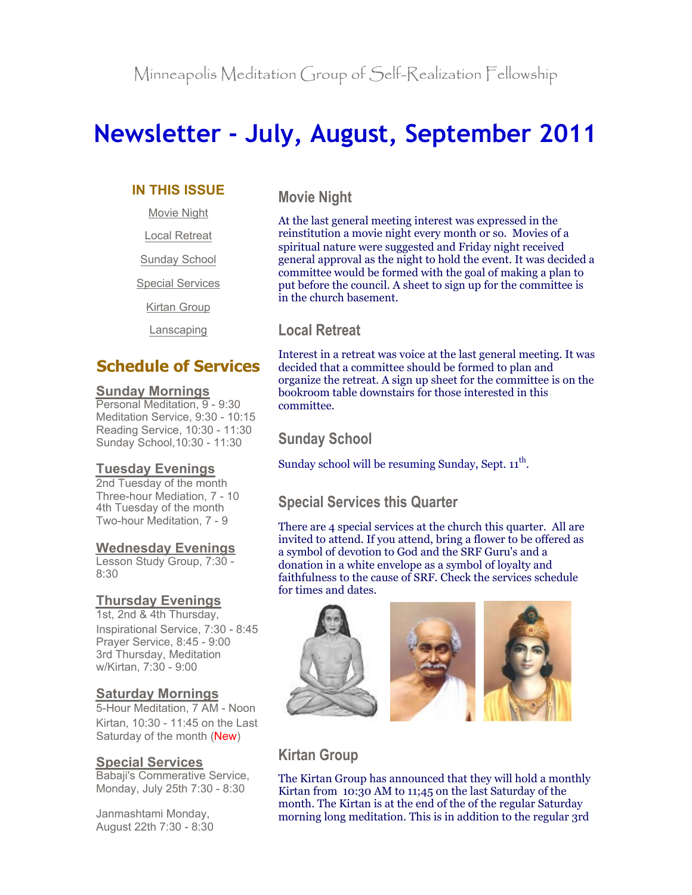# **Newsletter - July, August, September 2011**

### **IN THIS ISSUE**

Movie Night

Local Retreat

Sunday School

Special Services

Kirtan Group

Lanscaping

# **Schedule of Services**

### **Sunday Mornings**

Personal Meditation, 9 - 9:30 Meditation Service, 9:30 - 10:15 Reading Service, 10:30 - 11:30 Sunday School,10:30 - 11:30

### **Tuesday Evenings**

2nd Tuesday of the month Three-hour Mediation, 7 - 10 4th Tuesday of the month Two-hour Meditation, 7 - 9

### **Wednesday Evenings**

Lesson Study Group, 7:30 - 8:30

### **Thursday Evenings**

1st, 2nd & 4th Thursday, Inspirational Service, 7:30 - 8:45 Prayer Service, 8:45 - 9:00 3rd Thursday, Meditation w/Kirtan, 7:30 - 9:00

### **Saturday Mornings**

5-Hour Meditation, 7 AM - Noon Kirtan, 10:30 - 11:45 on the Last Saturday of the month (New)

### **Special Services**

Babaji's Commerative Service, Monday, July 25th 7:30 - 8:30

Janmashtami Monday, August 22th 7:30 - 8:30 **Movie Night**

At the last general meeting interest was expressed in the reinstitution a movie night every month or so. Movies of a spiritual nature were suggested and Friday night received general approval as the night to hold the event. It was decided a committee would be formed with the goal of making a plan to put before the council. A sheet to sign up for the committee is in the church basement.

### **Local Retreat**

Interest in a retreat was voice at the last general meeting. It was decided that a committee should be formed to plan and organize the retreat. A sign up sheet for the committee is on the bookroom table downstairs for those interested in this committee.

# **Sunday School**

Sunday school will be resuming Sunday, Sept.  $11^{th}$ .

# **Special Services this Quarter**

There are 4 special services at the church this quarter. All are invited to attend. If you attend, bring a flower to be offered as a symbol of devotion to God and the SRF Guru's and a donation in a white envelope as a symbol of loyalty and faithfulness to the cause of SRF. Check the services schedule for times and dates.



# **Kirtan Group**

The Kirtan Group has announced that they will hold a monthly Kirtan from 10:30 AM to 11;45 on the last Saturday of the month. The Kirtan is at the end of the of the regular Saturday morning long meditation. This is in addition to the regular 3rd